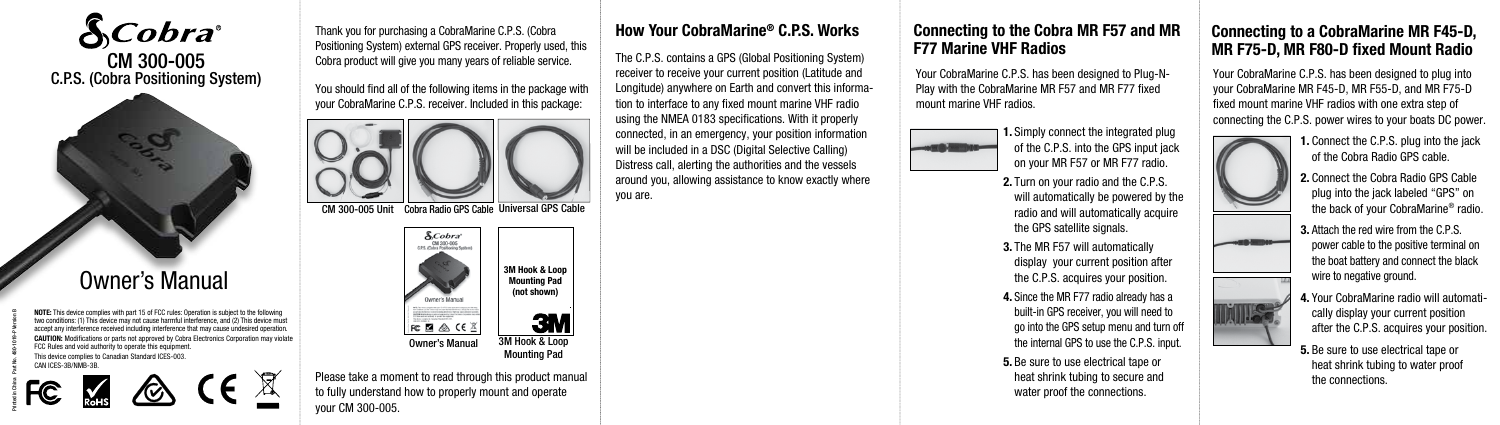

# Owner's Manual

NOTE: This device complies with part 15 of FCC rules: Operation is subject to the following two conditions: (1) This device may not cause harmful interference, and (2) This device must accept any interference received including interference that may cause undesired operation. CAUTION: Modifications or parts not approved by Cobra Electronics Corporation may violate FCC Rules and void authority to operate this equipment. This device complies to Canadian Standard ICES-003. CAN ICES-3B/NMB-3B.



Printed in China Part No. 480-1019-P Version B

Thank you for purchasing a CobraMarine C.P.S. (Cobra Positioning System) external GPS receiver. Properly used, this Cobra product will give you many years of reliable service.

You should find all of the following items in the package with your CobraMarine C.P.S. receiver. Included in this package:



CM 300-005 Unit Cobra Radio GPS Cable Universal GPS Cable



Please take a moment to read through this product manual to fully understand how to properly mount and operate your CM 300-005.

C.P.S. (Cobra Positioning System) We are the state of the state of the state of the state of the state of the state of the state of the state of the state of the state of the state of the state of the state of the state of The C.P.S. contains a GPS (Global Positioning System) receiver to receive your current position (Latitude and Longitude) anywhere on Earth and convert this information to interface to any fixed mount marine VHF radio using the NMEA 0183 specifications. With it properly connected, in an emergency, your position information will be included in a DSC (Digital Selective Calling) Distress call, alerting the authorities and the vessels around you, allowing assistance to know exactly where

you are.



How Your CobraMarine® C.P.S. Works Connecting to the Cobra MR F57 and MR F77 Marine VHF Radios

> Play with the CobraMarine MR F57 and MR F77 fixed mount marine VHF radios.



1. Simply connect the integrated plug of the C.P.S. into the GPS input jack on your MR F57 or MR F77 radio.

2. Turn on your radio and the C.P.S. will automatically be powered by the radio and will automatically acquire the GPS satellite signals.

3. The MR F57 will automatically display your current position after the C.P.S. acquires your position.

4. Since the MR F77 radio already has a built-in GPS receiver, you will need to go into the GPS setup menu and turn off the internal GPS to use the C.P.S. input.

5. Be sure to use electrical tape or heat shrink tubing to secure and water proof the connections.

## Connecting to a CobraMarine MR F45-D, MR F75-D, MR F80-D fixed Mount Radio

Your CobraMarine C.P.S. has been designed to plug into your CobraMarine MR F45-D, MR F55-D, and MR F75-D fixed mount marine VHF radios with one extra step of connecting the C.P.S. power wires to your boats DC power.



WI Leg

of the Cobra Radio GPS cable. 2. Connect the Cobra Radio GPS Cable plug into the jack labeled "GPS" on the back of your CobraMarine® radio.

3. Attach the red wire from the C.P.S. power cable to the positive terminal on the boat battery and connect the black wire to negative ground.

4. Your CobraMarine radio will automatically display your current position after the C.P.S. acquires your position.

5. Be sure to use electrical tape or heat shrink tubing to water proof the connections.